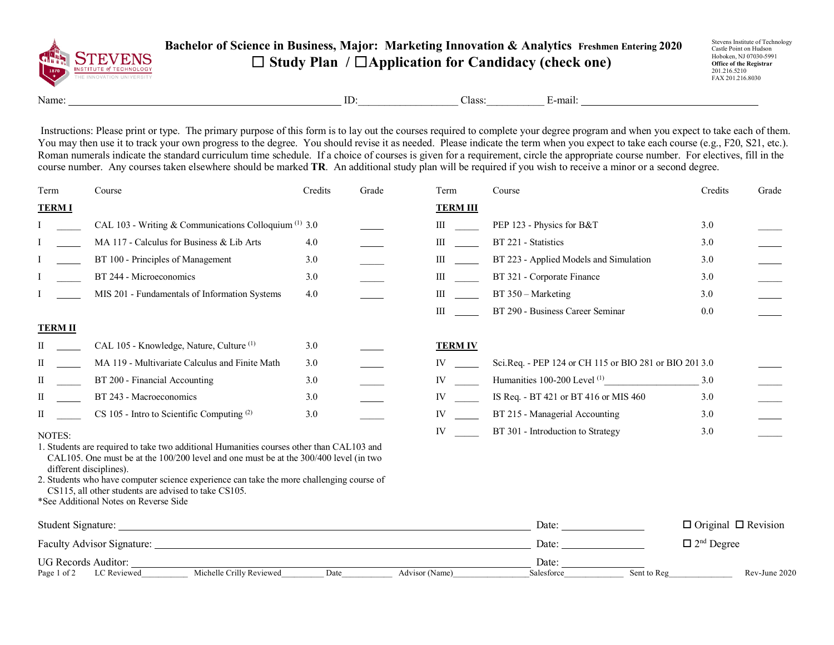

## **Bachelor of Science in Business, Major: Marketing Innovation & Analytics Freshmen Entering 2020** ☐ **Study Plan /** ☐**Application for Candidacy (check one)**

Stevens Institute of Technology Castle Point on Hudson Hoboken, NJ 07030-5991 **Office of the Registrar** 201.216.5210 FAX 201.216.8030

Name: E-mail: ID: Class: E-mail:

Instructions: Please print or type. The primary purpose of this form is to lay out the courses required to complete your degree program and when you expect to take each of them. You may then use it to track your own progress to the degree. You should revise it as needed. Please indicate the term when you expect to take each course (e.g., F20, S21, etc.). Roman numerals indicate the standard curriculum time schedule. If a choice of courses is given for a requirement, circle the appropriate course number. For electives, fill in the course number. Any courses taken elsewhere should be marked **TR**. An additional study plan will be required if you wish to receive a minor or a second degree.

| Term                         | Course                                                                                                                                                                            | Credits | Grade          | Term                                                                                                                                                                                                                           | Course                                                 | Credits                         | Grade         |
|------------------------------|-----------------------------------------------------------------------------------------------------------------------------------------------------------------------------------|---------|----------------|--------------------------------------------------------------------------------------------------------------------------------------------------------------------------------------------------------------------------------|--------------------------------------------------------|---------------------------------|---------------|
| <b>TERMI</b>                 |                                                                                                                                                                                   |         |                | <b>TERM III</b>                                                                                                                                                                                                                |                                                        |                                 |               |
|                              | CAL 103 - Writing & Communications Colloquium $(1)$ 3.0                                                                                                                           |         |                | III                                                                                                                                                                                                                            | PEP 123 - Physics for B&T                              | 3.0                             |               |
|                              | MA 117 - Calculus for Business & Lib Arts                                                                                                                                         | 4.0     |                | $\mathbf{III}$                                                                                                                                                                                                                 | BT 221 - Statistics                                    | 3.0                             |               |
|                              | BT 100 - Principles of Management                                                                                                                                                 | 3.0     |                | $\mathbf{III}$                                                                                                                                                                                                                 | BT 223 - Applied Models and Simulation                 | 3.0                             |               |
|                              | BT 244 - Microeconomics                                                                                                                                                           | 3.0     |                | III                                                                                                                                                                                                                            | BT 321 - Corporate Finance                             | 3.0                             |               |
|                              | MIS 201 - Fundamentals of Information Systems                                                                                                                                     | 4.0     |                | III                                                                                                                                                                                                                            | BT 350 - Marketing                                     | 3.0                             |               |
|                              |                                                                                                                                                                                   |         |                | $\mathbf{III}$                                                                                                                                                                                                                 | BT 290 - Business Career Seminar                       | 0.0                             |               |
| <b>TERM II</b>               |                                                                                                                                                                                   |         |                |                                                                                                                                                                                                                                |                                                        |                                 |               |
| П                            | CAL 105 - Knowledge, Nature, Culture <sup>(1)</sup>                                                                                                                               | 3.0     |                | <b>TERM IV</b>                                                                                                                                                                                                                 |                                                        |                                 |               |
| П                            | MA 119 - Multivariate Calculus and Finite Math                                                                                                                                    | 3.0     |                | IV and the set of the set of the set of the set of the set of the set of the set of the set of the set of the set of the set of the set of the set of the set of the set of the set of the set of the set of the set of the se | Sci.Req. - PEP 124 or CH 115 or BIO 281 or BIO 201 3.0 |                                 |               |
| П                            | BT 200 - Financial Accounting                                                                                                                                                     | 3.0     |                | IV                                                                                                                                                                                                                             | Humanities 100-200 Level $(1)$ 3.0                     |                                 |               |
| H                            | BT 243 - Macroeconomics                                                                                                                                                           | 3.0     |                | IV                                                                                                                                                                                                                             | IS Req. - BT 421 or BT 416 or MIS 460                  | 3.0                             |               |
| П                            | $CS$ 105 - Intro to Scientific Computing $(2)$                                                                                                                                    | 3.0     |                | IV and the set of the set of the set of the set of the set of the set of the set of the set of the set of the set of the set of the set of the set of the set of the set of the set of the set of the set of the set of the se | BT 215 - Managerial Accounting                         | 3.0                             |               |
| NOTES:                       |                                                                                                                                                                                   |         |                | IV                                                                                                                                                                                                                             | BT 301 - Introduction to Strategy                      | 3.0                             |               |
|                              | 1. Students are required to take two additional Humanities courses other than CAL103 and<br>CAL105. One must be at the 100/200 level and one must be at the 300/400 level (in two |         |                |                                                                                                                                                                                                                                |                                                        |                                 |               |
|                              | different disciplines).                                                                                                                                                           |         |                |                                                                                                                                                                                                                                |                                                        |                                 |               |
|                              | 2. Students who have computer science experience can take the more challenging course of<br>CS115, all other students are advised to take CS105.                                  |         |                |                                                                                                                                                                                                                                |                                                        |                                 |               |
|                              | *See Additional Notes on Reverse Side                                                                                                                                             |         |                |                                                                                                                                                                                                                                |                                                        |                                 |               |
|                              |                                                                                                                                                                                   |         |                |                                                                                                                                                                                                                                | Date:                                                  | $\Box$ Original $\Box$ Revision |               |
|                              |                                                                                                                                                                                   |         |                |                                                                                                                                                                                                                                | Date:                                                  | $\Box$ 2 <sup>nd</sup> Degree   |               |
| UG Records Auditor:<br>Date: |                                                                                                                                                                                   |         |                |                                                                                                                                                                                                                                |                                                        |                                 |               |
| Page 1 of 2                  | Michelle Crilly Reviewed<br>LC Reviewed                                                                                                                                           | Date    | Advisor (Name) |                                                                                                                                                                                                                                | Sent to Reg<br>Salesforce                              |                                 | Rev-June 2020 |